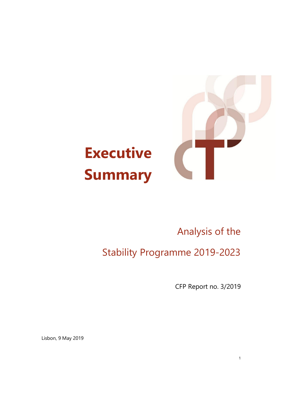

## **Executive Summary**

## Analysis of the

Stability Programme 2019-2023

CFP Report no. 3/2019

1

Lisbon, 9 May 2019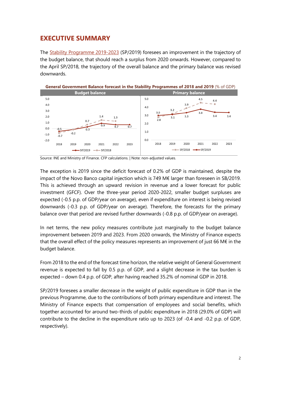## **EXECUTIVE SUMMARY**

The [Stability Programme 2019-2023](http://app.parlamento.pt/webutils/docs/doc.pdf?path=6148523063446f764c324679626d56304c334e706447567a4c31684a53556c4d5a5763765130394e4c7a564454305a4e5153394562324e31625756756447397a52573530615752685a47567a525868305a584a7559584d764e54686a596d4a6c4e544d744d474931597930304d6a41794c574a694d6a5574596a56694d47526c595746684e575a6b4c6e426b5a673d3d&fich=58cbbe53-0b5c-4202-bb25-b5b0deaaa5fd.pdf&Inline=true) (SP/2019) foresees an improvement in the trajectory of the budget balance, that should reach a surplus from 2020 onwards. However, compared to the April SP/2018, the trajectory of the overall balance and the primary balance was revised downwards.



Source: INE and Ministry of Finance. CFP calculations. | Note: non-adjusted values.

The exception is 2019 since the deficit forecast of 0.2% of GDP is maintained, despite the impact of the Novo Banco capital injection which is 749 M€ larger than foreseen in SB/2019. This is achieved through an upward revision in revenue and a lower forecast for public investment (GFCF). Over the three-year period 2020-2022, smaller budget surpluses are expected (-0.5 p.p. of GDP/year on average), even if expenditure on interest is being revised downwards (-0.3 p.p. of GDP/year on average). Therefore, the forecasts for the primary balance over that period are revised further downwards (-0.8 p.p. of GDP/year on average).

In net terms, the new policy measures contribute just marginally to the budget balance improvement between 2019 and 2023. From 2020 onwards, the Ministry of Finance expects that the overall effect of the policy measures represents an improvement of just 66 M€ in the budget balance.

From 2018 to the end of the forecast time horizon, the relative weight of General Government revenue is expected to fall by 0.5 p.p. of GDP, and a slight decrease in the tax burden is expected – down 0.4 p.p. of GDP, after having reached 35.2% of nominal GDP in 2018.

SP/2019 foresees a smaller decrease in the weight of public expenditure in GDP than in the previous Programme, due to the contributions of both primary expenditure and interest. The Ministry of Finance expects that compensation of employees and social benefits, which together accounted for around two-thirds of public expenditure in 2018 (29.0% of GDP) will contribute to the decline in the expenditure ratio up to 2023 (of -0.4 and -0.2 p.p. of GDP, respectively).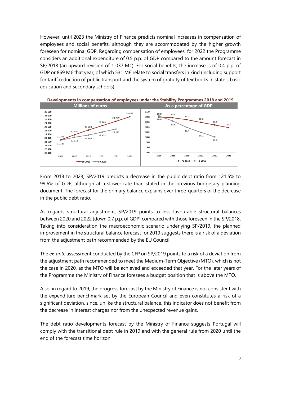However, until 2023 the Ministry of Finance predicts nominal increases in compensation of employees and social benefits, although they are accommodated by the higher growth foreseen for nominal GDP. Regarding compensation of employees, for 2022 the Programme considers an additional expenditure of 0.5 p.p. of GDP compared to the amount forecast in SP/2018 (an upward revision of 1 037 M€). For social benefits, the increase is of 0.4 p.p. of GDP or 869 M€ that year, of which 531 M€ relate to social transfers in kind (including support for tariff reduction of public transport and the system of gratuity of textbooks in state's basic education and secondary schools).



From 2018 to 2023, SP/2019 predicts a decrease in the public debt ratio from 121.5% to 99.6% of GDP, although at a slower rate than stated in the previous budgetary planning document. The forecast for the primary balance explains over three-quarters of the decrease in the public debt ratio.

As regards structural adjustment, SP/2019 points to less favourable structural balances between 2020 and 2022 (down 0.7 p.p. of GDP) compared with those foreseen in the SP/2018. Taking into consideration the macroeconomic scenario underlying SP/2019, the planned improvement in the structural balance forecast for 2019 suggests there is a risk of a deviation from the adjustment path recommended by the EU Council.

The *ex-ante* assessment conducted by the CFP on SP/2019 points to a risk of a deviation from the adjustment path recommended to meet the Medium-Term Objective (MTO), which is not the case in 2020, as the MTO will be achieved and exceeded that year. For the later years of the Programme the Ministry of Finance foresees a budget position that is above the MTO.

Also, in regard to 2019, the progress forecast by the Ministry of Finance is not consistent with the expenditure benchmark set by the European Council and even constitutes a risk of a significant deviation, since, unlike the structural balance, this indicator does not benefit from the decrease in interest charges nor from the unexpected revenue gains.

The debt ratio developments forecast by the Ministry of Finance suggests Portugal will comply with the transitional debt rule in 2019 and with the general rule from 2020 until the end of the forecast time horizon.